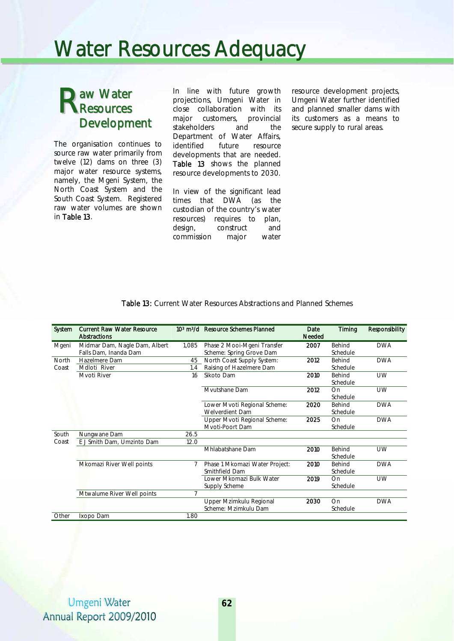## Water Resources Adequacy

## aw Water **R**esources Development

The organisation continues to source raw water primarily from twelve (12) dams on three (3) major water resource systems, namely, the Mgeni System, the North Coast System and the South Coast System. Registered raw water volumes are shown in Table 13.

In line with future growth projections, Umgeni Water in close collaboration with its major customers, provincial stakeholders and the Department of Water Affairs, identified future resource developments that are needed. Table 13 shows the planned resource developments to 2030.

In view of the significant lead times that DWA (as the custodian of the country's water resources) requires to plan, design, construct and commission major water

resource development projects, Umgeni Water further identified and planned smaller dams with its customers as a means to secure supply to rural areas.

| System | <b>Current Raw Water Resource</b><br>Abstractions |       | 10 <sup>3</sup> m <sup>3</sup> /d Resource Schemes Planned | Date<br>Needed | Timing   | <b>Responsibility</b> |
|--------|---------------------------------------------------|-------|------------------------------------------------------------|----------------|----------|-----------------------|
| Mgeni  | Midmar Dam, Nagle Dam, Albert                     | 1,085 | Phase 2 Mooi-Mgeni Transfer                                | 2007           | Behind   | <b>DWA</b>            |
|        | Falls Dam, Inanda Dam                             |       | Scheme: Spring Grove Dam                                   |                | Schedule |                       |
| North  | Hazelmere Dam                                     | 45    | North Coast Supply System:                                 | 2012           | Behind   | <b>DWA</b>            |
| Coast  | Mdloti River                                      | 1.4   | Raising of Hazelmere Dam                                   |                | Schedule |                       |
|        | Mvoti River                                       | 16    | Sikoto Dam                                                 | 2010           | Behind   | <b>UW</b>             |
|        |                                                   |       |                                                            |                | Schedule |                       |
|        |                                                   |       | Myutshane Dam                                              | 2012           | On       | <b>UW</b>             |
|        |                                                   |       |                                                            |                | Schedule |                       |
|        |                                                   |       |                                                            | 2020           | Behind   | <b>DWA</b>            |
|        |                                                   |       | Lower Mvoti Regional Scheme:<br>Welverdient Dam            |                | Schedule |                       |
|        |                                                   |       | Upper Mvoti Regional Scheme:                               | 2025           | On       | <b>DWA</b>            |
|        |                                                   |       | Mvoti-Poort Dam                                            |                | Schedule |                       |
| South  | Nungwane Dam                                      | 26.5  |                                                            |                |          |                       |
| Coast  | E J Smith Dam, Umzinto Dam                        | 12.0  |                                                            |                |          |                       |
|        |                                                   |       | Mhlabatshane Dam                                           | 2010           | Behind   | UW                    |
|        |                                                   |       |                                                            |                | Schedule |                       |
|        | Mkomazi River Well points                         | 7     |                                                            | 2010           | Behind   | <b>DWA</b>            |
|        |                                                   |       | Phase 1 Mkomazi Water Project:<br>Smithfield Dam           |                | Schedule |                       |
|        |                                                   |       | Lower Mkomazi Bulk Water                                   | 2019           | On       | <b>UW</b>             |
|        |                                                   |       | Supply Scheme                                              |                | Schedule |                       |
|        | Mtwalume River Well points                        | 7     |                                                            |                |          |                       |
|        |                                                   |       | Upper Mzimkulu Regional                                    | 2030           | On       | <b>DWA</b>            |
|        |                                                   |       | Scheme: Mzimkulu Dam                                       |                | Schedule |                       |
| Other  | Ixopo Dam                                         | 1.80  |                                                            |                |          |                       |
|        |                                                   |       |                                                            |                |          |                       |

Table 13: Current Water Resources Abstractions and Planned Schemes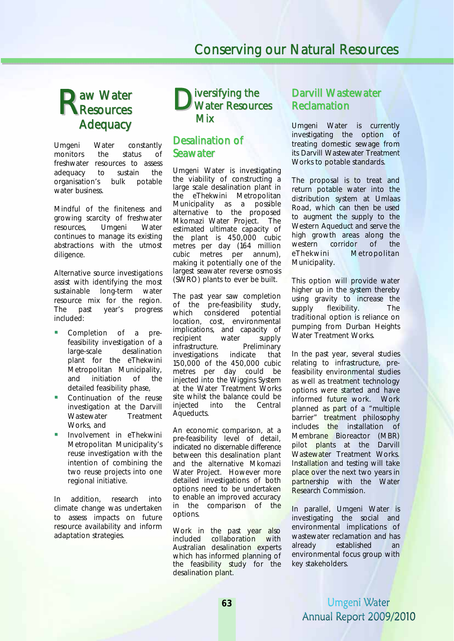## aw Water **R** Resources<br>
R Resources **Adequacy**

Umgeni Water constantly monitors the status of freshwater resources to assess adequacy to sustain the organisation's bulk potable water business.

Mindful of the finiteness and growing scarcity of freshwater resources, Umgeni Water continues to manage its existing abstractions with the utmost diligence.

Alternative source investigations assist with identifying the most sustainable long-term water resource mix for the region. The past year's progress included:

- Completion of a prefeasibility investigation of a large-scale desalination plant for the eThekwini Metropolitan Municipality, and initiation of the detailed feasibility phase,
- Continuation of the reuse investigation at the Darvill Wastewater Treatment Works, and
- Involvement in eThekwini Metropolitan Municipality's reuse investigation with the intention of combining the two reuse projects into one regional initiative.

In addition, research into climate change was undertaken to assess impacts on future resource availability and inform adaptation strategies.

## iversifying the Water Resources Mix

## Desalination of Seawater

Umgeni Water is investigating the viability of constructing a large scale desalination plant in the eThekwini Metropolitan Municipality as a possible alternative to the proposed Mkomazi Water Project. The estimated ultimate capacity of the plant is 450,000 cubic metres per day (164 million cubic metres per annum), making it potentially one of the largest seawater reverse osmosis (SWRO) plants to ever be built.

The past year saw completion of the pre-feasibility study, which considered potential location, cost, environmental implications, and capacity of<br>recipient water supply recipient water supply<br>infrastructure. Preliminary infrastructure. Preliminvestigations indicate investigations indicate that 150,000 of the 450,000 cubic metres per day could be injected into the Wiggins System at the Water Treatment Works site whilst the balance could be<br>injected into the Central injected into the Aqueducts.

An economic comparison, at a pre-feasibility level of detail, indicated no discernable difference between this desalination plant and the alternative Mkomazi Water Project. However more detailed investigations of both options need to be undertaken to enable an improved accuracy in the comparison of the options.

Work in the past year also included collaboration with Australian desalination experts which has informed planning of the feasibility study for the desalination plant.

## Darvill Wastewater Reclamation

Umgeni Water is currently investigating the option of treating domestic sewage from its Darvill Wastewater Treatment Works to potable standards.

The proposal is to treat and return potable water into the distribution system at Umlaas Road, which can then be used to augment the supply to the Western Aqueduct and serve the high growth areas along the western corridor of the eThekwini Metropolitan Municipality.

This option will provide water higher up in the system thereby using gravity to increase the supply flexibility. The traditional option is reliance on pumping from Durban Heights Water Treatment Works.

In the past year, several studies relating to infrastructure, prefeasibility environmental studies as well as treatment technology options were started and have informed future work. Work planned as part of a "multiple barrier" treatment philosophy includes the installation of Membrane Bioreactor (MBR) pilot plants at the Darvill Wastewater Treatment Works. Installation and testing will take place over the next two years in partnership with the Water Research Commission.

In parallel, Umgeni Water is investigating the social and environmental implications of wastewater reclamation and has already established an environmental focus group with key stakeholders.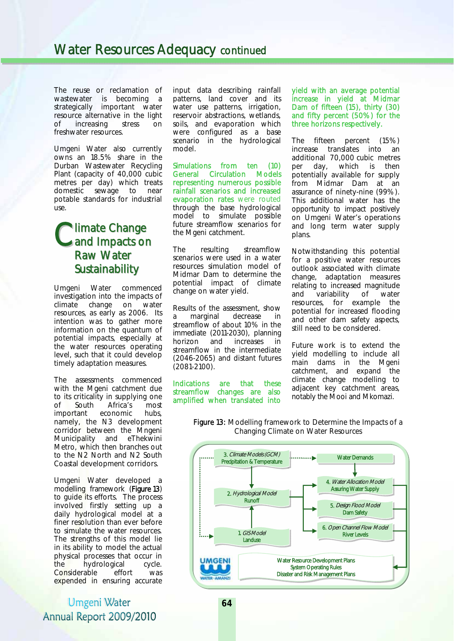The reuse or reclamation of wastewater is becoming a strategically important water resource alternative in the light of increasing stress on freshwater resources.

Umgeni Water also currently owns an 18.5% share in the Durban Wastewater Recycling Plant (capacity of 40,000 cubic metres per day) which treats domestic sewage to near potable standards for industrial use.

## **Mimate Change** Climate Change<br>Cand Impacts on Raw Water **Sustainability**

Umgeni Water commenced investigation into the impacts of climate change on water resources, as early as 2006. Its intention was to gather more information on the quantum of potential impacts, especially at the water resources operating level, such that it could develop timely adaptation measures.

The assessments commenced with the Mgeni catchment due to its criticality in supplying one of South Africa's most important economic hubs, namely, the N3 development corridor between the Mngeni Municipality and eThekwini Metro, which then branches out to the N2 North and N2 South Coastal development corridors.

Umgeni Water developed a modelling framework (Figure 13) to guide its efforts. The process involved firstly setting up a daily hydrological model at a finer resolution than ever before to simulate the water resources. The strengths of this model lie in its ability to model the actual physical processes that occur in the hydrological cycle. Considerable effort was expended in ensuring accurate

## Umgeni Water Annual Report 2009/2010

input data describing rainfall patterns, land cover and its water use patterns, irrigation, reservoir abstractions, wetlands, soils, and evaporation which were configured as a base scenario in the hydrological model.

Simulations from ten (10) General Circulation Models representing numerous possible rainfall scenarios and increased evaporation rates were routed through the base hydrological model to simulate possible future streamflow scenarios for the Mgeni catchment.

The resulting streamflow scenarios were used in a water resources simulation model of Midmar Dam to determine the potential impact of climate change on water yield.

Results of the assessment, show a marginal decrease in streamflow of about 10% in the immediate (2011-2030), planning horizon and increases in streamflow in the intermediate (2046-2065) and distant futures (2081-2100).

Indications are that these streamflow changes are also amplified when translated into yield with an average potential increase in yield at Midmar Dam of fifteen (15), thirty (30) and fifty percent (50%) for the three horizons respectively.

The fifteen percent (15%) increase translates into an additional 70,000 cubic metres per day, which is then potentially available for supply from Midmar Dam at an assurance of ninety-nine (99%). This additional water has the opportunity to impact positively on Umgeni Water's operations and long term water supply plans.

Notwithstanding this potential for a positive water resources outlook associated with climate change, adaptation measures relating to increased magnitude and variability of water resources, for example the potential for increased flooding and other dam safety aspects, still need to be considered.

Future work is to extend the yield modelling to include all main dams in the Mgeni catchment, and expand the climate change modelling to adjacent key catchment areas, notably the Mooi and Mkomazi.



Figure 13: Modelling framework to Determine the Impacts of a Changing Climate on Water Resources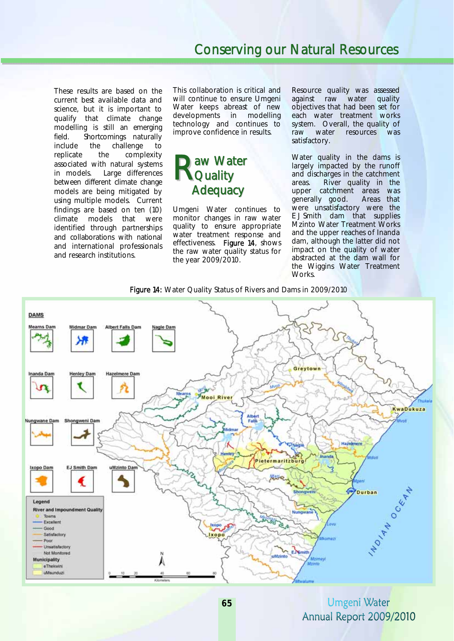These results are based on the current best available data and science, but it is important to qualify that climate change modelling is still an emerging field. Shortcomings naturally include the challenge to replicate the complexity associated with natural systems in models. Large differences between different climate change models are being mitigated by using multiple models. Current findings are based on ten (10) climate models that were identified through partnerships and collaborations with national and international professionals and research institutions.

This collaboration is critical and will continue to ensure Umgeni Water keeps abreast of new developments in modelling technology and continues to improve confidence in results.

## aw Water Raw Wa **Adequacy**

Umgeni Water continues to monitor changes in raw water quality to ensure appropriate water treatment response and effectiveness. Figure 14, shows the raw water quality status for the year 2009/2010.

Resource quality was assessed against raw water quality objectives that had been set for each water treatment works system. Overall, the quality of raw water resources was satisfactory.

Water quality in the dams is largely impacted by the runoff and discharges in the catchment areas. River quality in the upper catchment areas was generally good. Areas that were unsatisfactory were the E J Smith dam that supplies Mzinto Water Treatment Works and the upper reaches of Inanda dam, although the latter did not impact on the quality of water abstracted at the dam wall for the Wiggins Water Treatment Works.



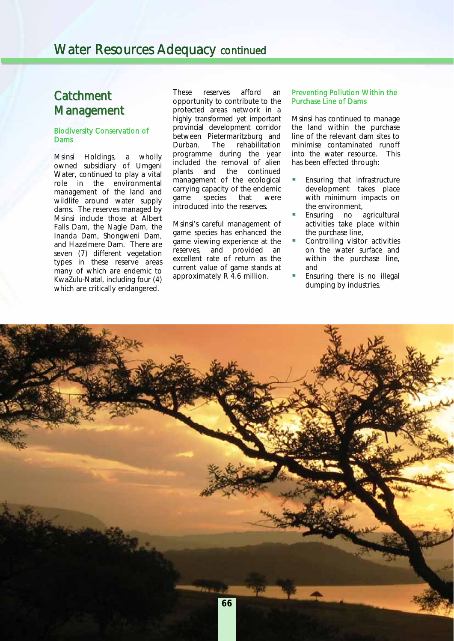## **Catchment Management**

### Biodiversity Conservation of Dams

Msinsi Holdings, a wholly owned subsidiary of Umgeni Water, continued to play a vital role in the environmental management of the land and wildlife around water supply dams. The reserves managed by Msinsi include those at Albert Falls Dam, the Nagle Dam, the Inanda Dam, Shongweni Dam, and Hazelmere Dam. There are seven (7) different vegetation types in these reserve areas many of which are endemic to KwaZulu-Natal, including four (4) which are critically endangered.

These reserves afford an opportunity to contribute to the protected areas network in a highly transformed yet important provincial development corridor between Pietermaritzburg and Durban. The rehabilitation programme during the year included the removal of alien plants and the continued management of the ecological carrying capacity of the endemic<br>qame species that were species that were introduced into the reserves.

Msinsi's careful management of game species has enhanced the game viewing experience at the reserves, and provided an excellent rate of return as the current value of game stands at approximately R 4.6 million.

### Preventing Pollution Within the Purchase Line of Dams

Msinsi has continued to manage the land within the purchase line of the relevant dam sites to minimise contaminated runoff into the water resource. This has been effected through:

- Ensuring that infrastructure development takes place with minimum impacts on the environment,
- Ensuring no agricultural activities take place within the purchase line,
- Controlling visitor activities on the water surface and within the purchase line, and
- Ensuring there is no illegal dumping by industries.

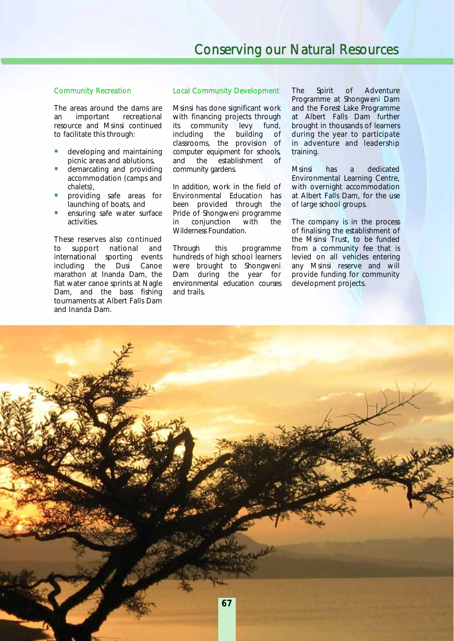### Community Recreation

The areas around the dams are an important recreational resource and Msinsi continued to facilitate this through:

- developing and maintaining picnic areas and ablutions,
- demarcating and providing accommodation (camps and chalets),
- providing safe areas for launching of boats, and
- ensuring safe water surface activities.

These reserves also continued to support national and international sporting events including the Dusi Canoe marathon at Inanda Dam, the flat water canoe sprints at Nagle Dam, and the bass fishing tournaments at Albert Falls Dam and Inanda Dam.

### Local Community Development

Msinsi has done significant work with financing projects through its community levy fund, including the building of classrooms, the provision of computer equipment for schools, and the establishment of community gardens.

In addition, work in the field of Environmental Education has been provided through the Pride of Shongweni programme in conjunction with the Wilderness Foundation.

Through this programme hundreds of high school learners were brought to Shongweni Dam during the year for environmental education courses and trails.

The Spirit of Adventure Programme at Shongweni Dam and the Forest Lake Programme at Albert Falls Dam further brought in thousands of learners during the year to participate in adventure and leadership training.

Msinsi has a dedicated Environmental Learning Centre, with overnight accommodation at Albert Falls Dam, for the use of large school groups.

The company is in the process of finalising the establishment of the Msinsi Trust, to be funded from a community fee that is levied on all vehicles entering any Msinsi reserve and will provide funding for community development projects.

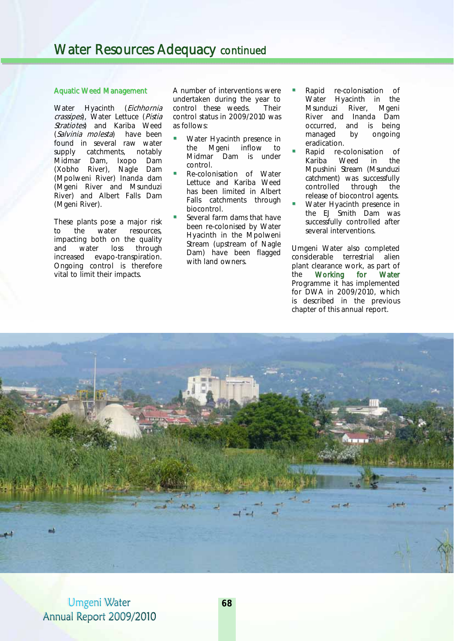### Aquatic Weed Management

Water Hyacinth (Eichhornia crassipes), Water Lettuce (Pistia Stratiotes) and Kariba Weed (Salvinia molesta) have been found in several raw water supply catchments, notably Midmar Dam, Ixopo Dam (Xobho River), Nagle Dam (Mpolweni River) Inanda dam (Mgeni River and Msunduzi River) and Albert Falls Dam (Mgeni River).

These plants pose a major risk to the water resources, impacting both on the quality and water loss through increased evapo-transpiration. Ongoing control is therefore vital to limit their impacts.

A number of interventions were undertaken during the year to control these weeds. Their control status in 2009/2010 was as follows:

- Water Hyacinth presence in the Mgeni inflow to Midmar Dam is under control.
- Re-colonisation of Water Lettuce and Kariba Weed has been limited in Albert Falls catchments through biocontrol.
- Several farm dams that have been re-colonised by Water Hyacinth in the Mpolweni Stream (upstream of Nagle Dam) have been flagged with land owners.
- Rapid re-colonisation of Water Hyacinth in the Msunduzi River, Mgeni River and Inanda Dam occurred, and is being managed by ongoing eradication.
- Rapid re-colonisation of Kariba Weed in the Mpushini Stream (Msunduzi catchment) was successfully controlled through the release of biocontrol agents.
- Water Hyacinth presence in the EJ Smith Dam was successfully controlled after several interventions.

Umgeni Water also completed considerable terrestrial alien plant clearance work, as part of the Working for Water Programme it has implemented for DWA in 2009/2010, which is described in the previous chapter of this annual report.

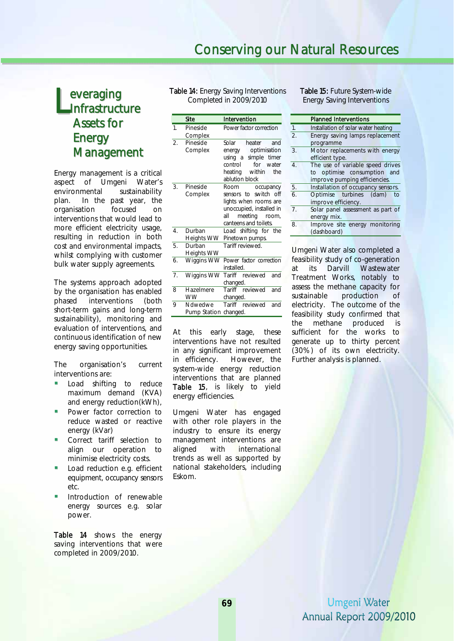## everaging Infrastructure Assets for **Energy Management** Everaging<br>
Infrastructure<br>
Completed in 2009/20<br>
Site Intervention

Energy management is a critical aspect of Umgeni Water's environmental sustainability plan. In the past year, the organisation focused on interventions that would lead to more efficient electricity usage, resulting in reduction in both cost and environmental impacts, whilst complying with customer bulk water supply agreements.

The systems approach adopted by the organisation has enabled phased interventions (both short-term gains and long-term sustainability), monitoring and evaluation of interventions, and continuous identification of new energy saving opportunities.

The organisation's current interventions are:

- Load shifting to reduce maximum demand (KVA) and energy reduction(kWh),
- **Power factor correction to** reduce wasted or reactive energy (kVar)
- **Correct tariff selection to** align our operation to minimise electricity costs.
- Load reduction e.g. efficient equipment, occupancy sensors etc.
- Introduction of renewable energy sources e.g. solar power.

Table 14 shows the energy saving interventions that were completed in 2009/2010.

Table 14: Energy Saving Interventions Completed in 2009/2010

|                  | Site                             | Intervention                                                                                                                                        |
|------------------|----------------------------------|-----------------------------------------------------------------------------------------------------------------------------------------------------|
| 1 <sup>1</sup>   | Pineside<br>Complex              | Power factor correction                                                                                                                             |
| 2.               | Pineside<br>Complex              | Solar<br>and<br>heater<br>optimisation<br>energy<br>using a simple timer<br>control<br>for water<br>heating<br>within the<br>ablution block         |
| 3.               | Pineside<br>Complex              | Room<br>occupancy<br>sensors to switch off<br>lights when rooms are<br>unoccupied, installed in<br>all<br>meeting<br>room,<br>canteens and toilets. |
| $\overline{4}$ . | Durban<br><b>Heights WW</b>      | Load shifting for the<br>Pinetown pumps.                                                                                                            |
| 5.               | Durban<br><b>Heights WW</b>      | Tariff reviewed.                                                                                                                                    |
| 6.               | Wiggins WW                       | Power factor correction<br>installed.                                                                                                               |
| 7 <sub>1</sub>   | Wiggins WW                       | Tariff reviewed<br>and<br>changed.                                                                                                                  |
| 8                | Hazelmere<br><b>WW</b>           | Tariff reviewed<br>and<br>changed.                                                                                                                  |
| 9                | Ndwedwe<br>Pump Station changed. | Tariff reviewed<br>and                                                                                                                              |

At this early stage, these interventions have not resulted in any significant improvement in efficiency. However, the system-wide energy reduction interventions that are planned Table 15, is likely to yield energy efficiencies.

Umgeni Water has engaged with other role players in the industry to ensure its energy management interventions are aligned with international trends as well as supported by national stakeholders, including Eskom.

Table 15: Future System-wide Energy Saving Interventions

|                  | <b>Planned Interventions</b>                                 |  |  |  |
|------------------|--------------------------------------------------------------|--|--|--|
| 1.               | Installation of solar water heating                          |  |  |  |
| 2.               | Energy saving lamps replacement<br>programme                 |  |  |  |
| $\overline{3}$ . | Motor replacements with energy<br>efficient type.            |  |  |  |
| $\overline{4}$ . | The use of variable speed drives                             |  |  |  |
|                  | to optimise consumption and<br>improve pumping efficiencies. |  |  |  |
| 5.               | Installation of occupancy sensors.                           |  |  |  |
| 6.               | Optimise turbines (dam)<br>to<br>improve efficiency.         |  |  |  |
| 7 <sup>1</sup>   | Solar panel assessment as part of<br>energy mix.             |  |  |  |
| 8.               | Improve site energy monitoring<br>(dashboard)                |  |  |  |

Umgeni Water also completed a feasibility study of co-generation at its Darvill Wastewater Treatment Works, notably to assess the methane capacity for sustainable production of electricity. The outcome of the feasibility study confirmed that the methane produced is sufficient for the works to generate up to thirty percent (30%) of its own electricity. Further analysis is planned.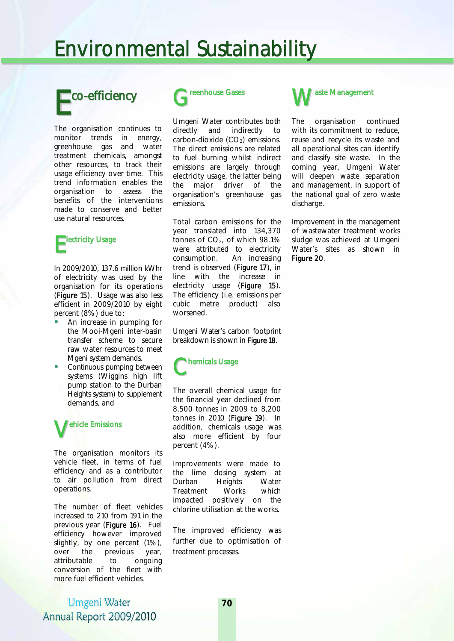## Environmental Sustainability

# Eco-efficiency

The organisation continues to monitor trends in energy, greenhouse gas and water treatment chemicals, amongst other resources, to track their usage efficiency over time. This trend information enables the organisation to assess the benefits of the interventions made to conserve and better use natural resources.

## Electricity Usage

In 2009/2010, 137.6 million kWhr of electricity was used by the organisation for its operations (Figure 15). Usage was also less efficient in 2009/2010 by eight percent (8%) due to:

- An increase in pumping for the Mooi-Mgeni inter-basin transfer scheme to secure raw water resources to meet Mgeni system demands,
- Continuous pumping between systems (Wiggins high lift pump station to the Durban Heights system) to supplement demands, and



The organisation monitors its vehicle fleet, in terms of fuel efficiency and as a contributor to air pollution from direct operations.

The number of fleet vehicles increased to 210 from 191 in the previous year (Figure 16). Fuel efficiency however improved slightly, by one percent (1%), over the previous year, attributable to ongoing conversion of the fleet with more fuel efficient vehicles.

Greenhouse Gases

Umgeni Water contributes both directly and indirectly to carbon-dioxide  $(CO<sub>2</sub>)$  emissions. The direct emissions are related to fuel burning whilst indirect emissions are largely through electricity usage, the latter being the major driver of the organisation's greenhouse gas emissions.

Total carbon emissions for the year translated into 134,370 tonnes of  $CO<sub>2</sub>$ , of which 98.1% were attributed to electricity consumption. An increasing trend is observed (Figure 17), in line with the increase in electricity usage (Figure 15). The efficiency (i.e. emissions per cubic metre product) also worsened.

Umgeni Water's carbon footprint breakdown is shown in Figure 18.



The overall chemical usage for the financial year declined from 8,500 tonnes in 2009 to 8,200 tonnes in 2010 (Figure 19). In addition, chemicals usage was also more efficient by four percent (4%).

Improvements were made to the lime dosing system at Durban Heights Water Treatment Works which impacted positively on the chlorine utilisation at the works.

The improved efficiency was further due to optimisation of treatment processes.



The organisation continued with its commitment to reduce. reuse and recycle its waste and all operational sites can identify and classify site waste. In the coming year, Umgeni Water will deepen waste separation and management, in support of the national goal of zero waste discharge.

Improvement in the management of wastewater treatment works sludge was achieved at Umgeni Water's sites as shown in Figure 20.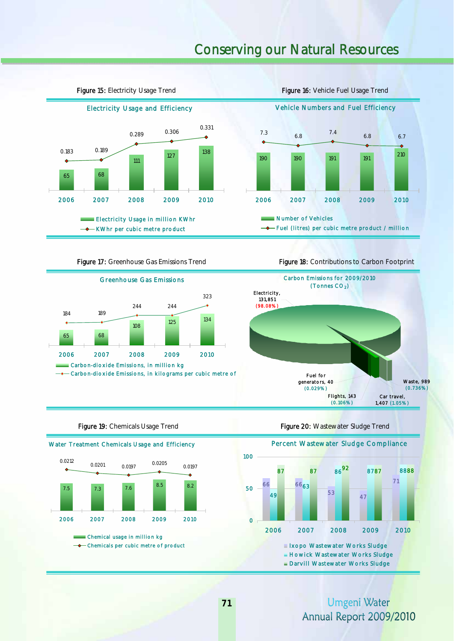## Conserving our Natural Resources



Figure 15: Electricity Usage Trend Figure 16: Vehicle Fuel Usage Trend

7.4



Carbon Emissions for 2009/2010



(Tonnes CO<sub>2</sub>) Waste, 989 (0.736%) Flights, 143 (0.106%) Fuel for generators, 40 (0.029%) Car travel, Electricity, 131,851 (98.08%)

1,407 (1.05%)

210

6.8 6.7



**Figure 19:** Chemicals Usage Trend Figure 20: Wastewater Sludge Trend

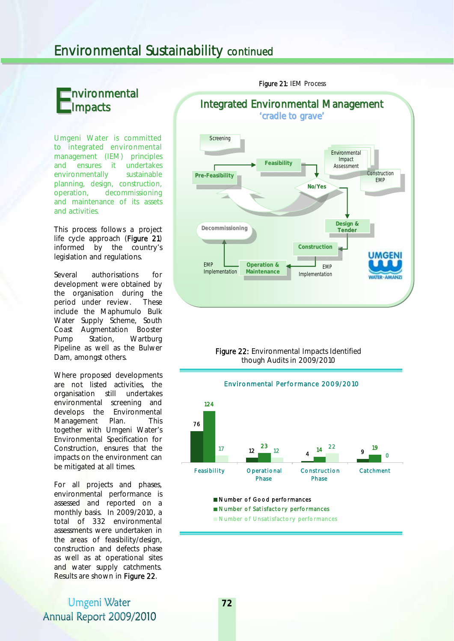## Environmental Sustainability continued

### nvironmental Impacts E

Umgeni Water is committed to integrated environmental management (IEM) principles and ensures it undertakes environmentally sustainable planning, design, construction, operation, decommissioning and maintenance of its assets and activities.

This process follows a project life cycle approach (Figure 21) informed by the country's legislation and regulations.

Several authorisations for development were obtained by the organisation during the period under review. These include the Maphumulo Bulk Water Supply Scheme, South Coast Augmentation Booster<br>Pump Station. Wartburg Pump Station, Wartburg Pipeline as well as the Bulwer Dam, amongst others.

Where proposed developments are not listed activities, the organisation still undertakes environmental screening and develops the Environmental Management Plan. This together with Umgeni Water's Environmental Specification for Construction, ensures that the impacts on the environment can be mitigated at all times.

For all projects and phases, environmental performance is assessed and reported on a monthly basis. In 2009/2010, a total of 332 environmental assessments were undertaken in the areas of feasibility/design, construction and defects phase as well as at operational sites and water supply catchments. Results are shown in Figure 22.

Umgeni Water Annual Report 2009/2010



**Screening** 

 though Audits in 2009/2010 Figure 22: Environmental Impacts Identified



Number of Unsatisfactory performances

### Figure 21: IEM Process

Integrated Environmental Management 'cradle to grave'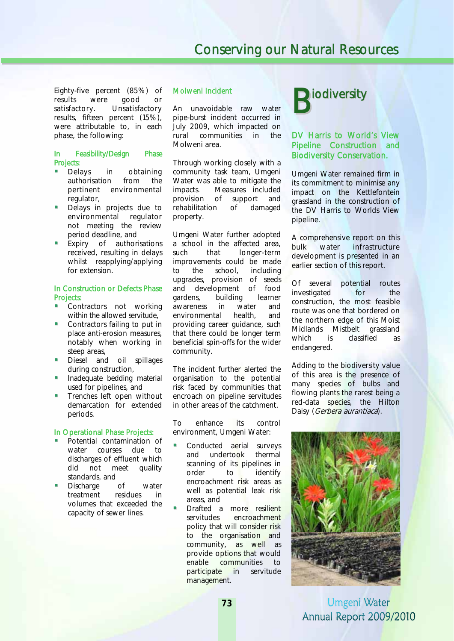Eighty-five percent (85%) of results were good or satisfactory. Unsatisfactory results, fifteen percent (15%), were attributable to, in each phase, the following:

## In Feasibility/Design Phase Projects:<br>• Delays

- in obtaining authorisation from the pertinent environmental regulator,
- Delays in projects due to environmental regulator not meeting the review period deadline, and
- Expiry of authorisations received, resulting in delays whilst reapplying/applying for extension.

#### In Construction or Defects Phase Projects:

- Contractors not working within the allowed servitude,
- Contractors failing to put in place anti-erosion measures, notably when working in steep areas,
- Diesel and oil spillages during construction,
- **Inadequate bedding material** used for pipelines, and
- Trenches left open without demarcation for extended periods.

#### In Operational Phase Projects:

- Potential contamination of water courses due to discharges of effluent which did not meet quality standards, and
- Discharge of water treatment residues in volumes that exceeded the capacity of sewer lines.

### Molweni Incident

An unavoidable raw water pipe-burst incident occurred in July 2009, which impacted on rural communities in the Molweni area.

Through working closely with a community task team, Umgeni Water was able to mitigate the impacts. Measures included provision of support and rehabilitation of damaged property.

Umgeni Water further adopted a school in the affected area, such that longer-term improvements could be made to the school, including upgrades, provision of seeds and development of food gardens, building learner awareness in water and environmental health, and providing career guidance, such that there could be longer term beneficial spin-offs for the wider community.

The incident further alerted the organisation to the potential risk faced by communities that encroach on pipeline servitudes in other areas of the catchment.

To enhance its control environment, Umgeni Water:

- Conducted aerial surveys and undertook thermal scanning of its pipelines in order to identify encroachment risk areas as well as potential leak risk areas, and
- Drafted a more resilient servitudes encroachment policy that will consider risk to the organisation and community, as well as provide options that would enable communities to participate in servitude management.



### DV Harris to World's View Pipeline Construction and Biodiversity Conservation.

Umgeni Water remained firm in its commitment to minimise any impact on the Kettlefontein grassland in the construction of the DV Harris to Worlds View pipeline.

A comprehensive report on this bulk water infrastructure development is presented in an earlier section of this report.

Of several potential routes investigated for the construction, the most feasible route was one that bordered on the northern edge of this Moist Midlands Mistbelt grassland which is classified as endangered.

Adding to the biodiversity value of this area is the presence of many species of bulbs and flowing plants the rarest being a red-data species, the Hilton Daisy (Gerbera aurantiaca).